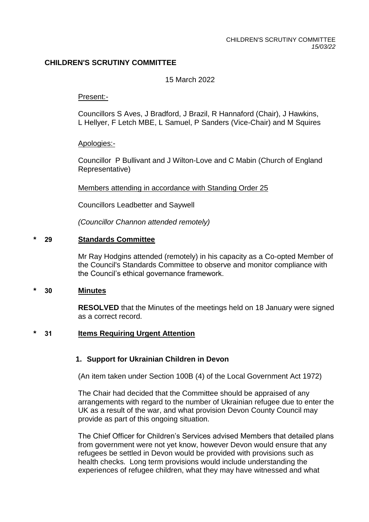# **CHILDREN'S SCRUTINY COMMITTEE**

### 15 March 2022

### Present:-

Councillors S Aves, J Bradford, J Brazil, R Hannaford (Chair), J Hawkins, L Hellyer, F Letch MBE, L Samuel, P Sanders (Vice-Chair) and M Squires

Apologies:-

Councillor P Bullivant and J Wilton-Love and C Mabin (Church of England Representative)

Members attending in accordance with Standing Order 25

Councillors Leadbetter and Saywell

*(Councillor Channon attended remotely)*

### **\* 29 Standards Committee**

Mr Ray Hodgins attended (remotely) in his capacity as a Co-opted Member of the Council's Standards Committee to observe and monitor compliance with the Council's ethical governance framework.

### **\* 30 Minutes**

**RESOLVED** that the Minutes of the meetings held on 18 January were signed as a correct record.

### **\* 31 Items Requiring Urgent Attention**

### **1. Support for Ukrainian Children in Devon**

(An item taken under Section 100B (4) of the Local Government Act 1972)

The Chair had decided that the Committee should be appraised of any arrangements with regard to the number of Ukrainian refugee due to enter the UK as a result of the war, and what provision Devon County Council may provide as part of this ongoing situation.

The Chief Officer for Children's Services advised Members that detailed plans from government were not yet know, however Devon would ensure that any refugees be settled in Devon would be provided with provisions such as health checks. Long term provisions would include understanding the experiences of refugee children, what they may have witnessed and what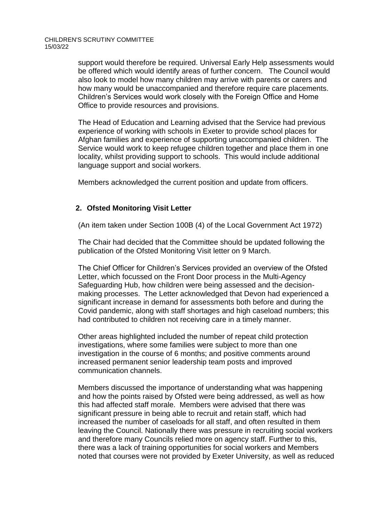support would therefore be required. Universal Early Help assessments would be offered which would identify areas of further concern. The Council would also look to model how many children may arrive with parents or carers and how many would be unaccompanied and therefore require care placements. Children's Services would work closely with the Foreign Office and Home Office to provide resources and provisions.

The Head of Education and Learning advised that the Service had previous experience of working with schools in Exeter to provide school places for Afghan families and experience of supporting unaccompanied children. The Service would work to keep refugee children together and place them in one locality, whilst providing support to schools. This would include additional language support and social workers.

Members acknowledged the current position and update from officers.

# **2. Ofsted Monitoring Visit Letter**

(An item taken under Section 100B (4) of the Local Government Act 1972)

The Chair had decided that the Committee should be updated following the publication of the Ofsted Monitoring Visit letter on 9 March.

The Chief Officer for Children's Services provided an overview of the Ofsted Letter, which focussed on the Front Door process in the Multi-Agency Safeguarding Hub, how children were being assessed and the decisionmaking processes. The Letter acknowledged that Devon had experienced a significant increase in demand for assessments both before and during the Covid pandemic, along with staff shortages and high caseload numbers; this had contributed to children not receiving care in a timely manner.

Other areas highlighted included the number of repeat child protection investigations, where some families were subject to more than one investigation in the course of 6 months; and positive comments around increased permanent senior leadership team posts and improved communication channels.

Members discussed the importance of understanding what was happening and how the points raised by Ofsted were being addressed, as well as how this had affected staff morale. Members were advised that there was significant pressure in being able to recruit and retain staff, which had increased the number of caseloads for all staff, and often resulted in them leaving the Council. Nationally there was pressure in recruiting social workers and therefore many Councils relied more on agency staff. Further to this, there was a lack of training opportunities for social workers and Members noted that courses were not provided by Exeter University, as well as reduced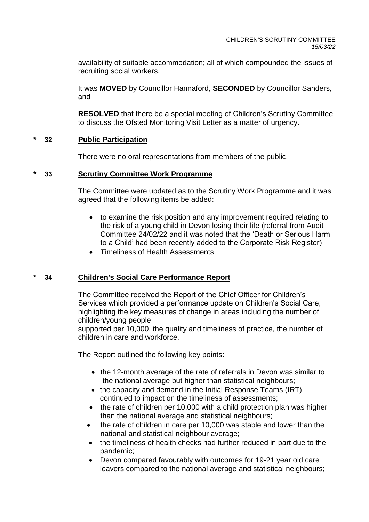availability of suitable accommodation; all of which compounded the issues of recruiting social workers.

It was **MOVED** by Councillor Hannaford, **SECONDED** by Councillor Sanders, and

**RESOLVED** that there be a special meeting of Children's Scrutiny Committee to discuss the Ofsted Monitoring Visit Letter as a matter of urgency.

# **\* 32 Public Participation**

There were no oral representations from members of the public.

# **\* 33 Scrutiny Committee Work Programme**

The Committee were updated as to the Scrutiny Work Programme and it was agreed that the following items be added:

- to examine the risk position and any improvement required relating to the risk of a young child in Devon losing their life (referral from Audit Committee 24/02/22 and it was noted that the 'Death or Serious Harm to a Child' had been recently added to the Corporate Risk Register)
- Timeliness of Health Assessments

### **\* 34 Children's Social Care Performance Report**

The Committee received the Report of the Chief Officer for Children's Services which provided a performance update on Children's Social Care, highlighting the key measures of change in areas including the number of children/young people

supported per 10,000, the quality and timeliness of practice, the number of children in care and workforce.

The Report outlined the following key points:

- the 12-month average of the rate of referrals in Devon was similar to the national average but higher than statistical neighbours;
- the capacity and demand in the Initial Response Teams (IRT) continued to impact on the timeliness of assessments;
- the rate of children per 10,000 with a child protection plan was higher than the national average and statistical neighbours;
- the rate of children in care per 10,000 was stable and lower than the national and statistical neighbour average;
- the timeliness of health checks had further reduced in part due to the pandemic;
- Devon compared favourably with outcomes for 19-21 year old care leavers compared to the national average and statistical neighbours;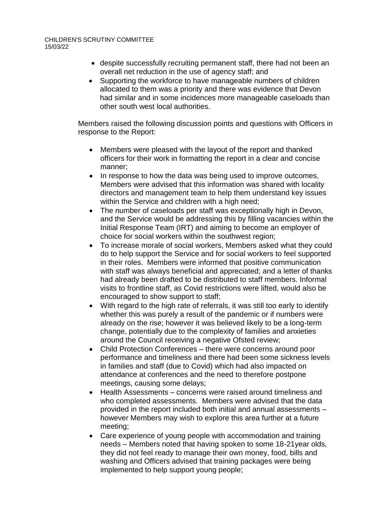CHILDREN'S SCRUTINY COMMITTEE 15/03/22

- despite successfully recruiting permanent staff, there had not been an overall net reduction in the use of agency staff; and
- Supporting the workforce to have manageable numbers of children allocated to them was a priority and there was evidence that Devon had similar and in some incidences more manageable caseloads than other south west local authorities.

Members raised the following discussion points and questions with Officers in response to the Report:

- Members were pleased with the layout of the report and thanked officers for their work in formatting the report in a clear and concise manner;
- In response to how the data was being used to improve outcomes, Members were advised that this information was shared with locality directors and management team to help them understand key issues within the Service and children with a high need;
- The number of caseloads per staff was exceptionally high in Devon, and the Service would be addressing this by filling vacancies within the Initial Response Team (IRT) and aiming to become an employer of choice for social workers within the southwest region;
- To increase morale of social workers, Members asked what they could do to help support the Service and for social workers to feel supported in their roles. Members were informed that positive communication with staff was always beneficial and appreciated; and a letter of thanks had already been drafted to be distributed to staff members. Informal visits to frontline staff, as Covid restrictions were lifted, would also be encouraged to show support to staff;
- With regard to the high rate of referrals, it was still too early to identify whether this was purely a result of the pandemic or if numbers were already on the rise; however it was believed likely to be a long-term change, potentially due to the complexity of families and anxieties around the Council receiving a negative Ofsted review;
- Child Protection Conferences there were concerns around poor performance and timeliness and there had been some sickness levels in families and staff (due to Covid) which had also impacted on attendance at conferences and the need to therefore postpone meetings, causing some delays;
- Health Assessments concerns were raised around timeliness and who completed assessments. Members were advised that the data provided in the report included both initial and annual assessments – however Members may wish to explore this area further at a future meeting;
- Care experience of young people with accommodation and training needs – Members noted that having spoken to some 18-21year olds, they did not feel ready to manage their own money, food, bills and washing and Officers advised that training packages were being implemented to help support young people;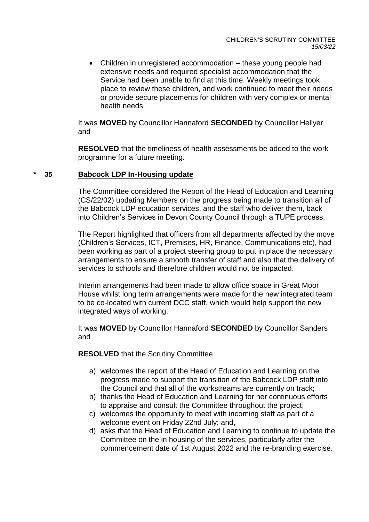• Children in unregistered accommodation – these young people had extensive needs and required specialist accommodation that the Service had been unable to find at this time. Weekly meetings took place to review these children, and work continued to meet their needs or provide secure placements for children with very complex or mental health needs.

It was **MOVED** by Councillor Hannaford **SECONDED** by Councillor Hellyer and

**RESOLVED** that the timeliness of health assessments be added to the work programme for a future meeting.

#### **\* 35 Babcock LDP In-Housing update**

The Committee considered the Report of the Head of Education and Learning (CS/22/02) updating Members on the progress being made to transition all of the Babcock LDP education services, and the staff who deliver them, back into Children's Services in Devon County Council through a TUPE process.

The Report highlighted that officers from all departments affected by the move (Children's Services, ICT, Premises, HR, Finance, Communications etc), had been working as part of a project steering group to put in place the necessary arrangements to ensure a smooth transfer of staff and also that the delivery of services to schools and therefore children would not be impacted.

Interim arrangements had been made to allow office space in Great Moor House whilst long term arrangements were made for the new integrated team to be co-located with current DCC staff, which would help support the new integrated ways of working.

It was **MOVED** by Councillor Hannaford **SECONDED** by Councillor Sanders and

**RESOLVED** that the Scrutiny Committee

- a) welcomes the report of the Head of Education and Learning on the progress made to support the transition of the Babcock LDP staff into the Council and that all of the workstreams are currently on track;
- b) thanks the Head of Education and Learning for her continuous efforts to appraise and consult the Committee throughout the project;
- c) welcomes the opportunity to meet with incoming staff as part of a welcome event on Friday 22nd July; and,
- d) asks that the Head of Education and Learning to continue to update the Committee on the in housing of the services, particularly after the commencement date of 1st August 2022 and the re-branding exercise.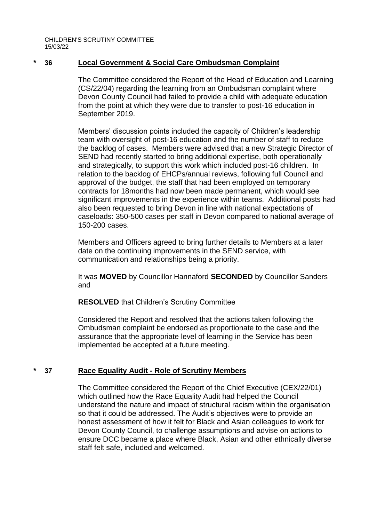CHILDREN'S SCRUTINY COMMITTEE 15/03/22

### **\* 36 Local Government & Social Care Ombudsman Complaint**

The Committee considered the Report of the Head of Education and Learning (CS/22/04) regarding the learning from an Ombudsman complaint where Devon County Council had failed to provide a child with adequate education from the point at which they were due to transfer to post-16 education in September 2019.

Members' discussion points included the capacity of Children's leadership team with oversight of post-16 education and the number of staff to reduce the backlog of cases. Members were advised that a new Strategic Director of SEND had recently started to bring additional expertise, both operationally and strategically, to support this work which included post-16 children. In relation to the backlog of EHCPs/annual reviews, following full Council and approval of the budget, the staff that had been employed on temporary contracts for 18months had now been made permanent, which would see significant improvements in the experience within teams. Additional posts had also been requested to bring Devon in line with national expectations of caseloads: 350-500 cases per staff in Devon compared to national average of 150-200 cases.

Members and Officers agreed to bring further details to Members at a later date on the continuing improvements in the SEND service, with communication and relationships being a priority.

It was **MOVED** by Councillor Hannaford **SECONDED** by Councillor Sanders and

**RESOLVED** that Children's Scrutiny Committee

Considered the Report and resolved that the actions taken following the Ombudsman complaint be endorsed as proportionate to the case and the assurance that the appropriate level of learning in the Service has been implemented be accepted at a future meeting.

### **\* 37 Race Equality Audit - Role of Scrutiny Members**

The Committee considered the Report of the Chief Executive (CEX/22/01) which outlined how the Race Equality Audit had helped the Council understand the nature and impact of structural racism within the organisation so that it could be addressed. The Audit's objectives were to provide an honest assessment of how it felt for Black and Asian colleagues to work for Devon County Council, to challenge assumptions and advise on actions to ensure DCC became a place where Black, Asian and other ethnically diverse staff felt safe, included and welcomed.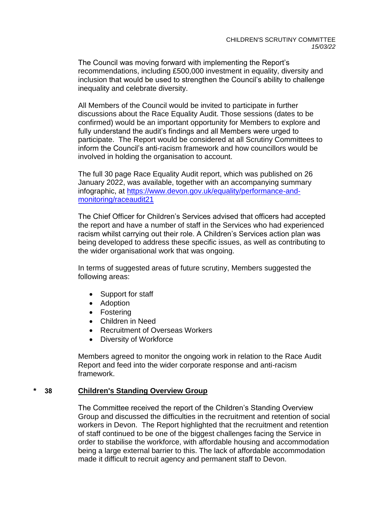The Council was moving forward with implementing the Report's recommendations, including £500,000 investment in equality, diversity and inclusion that would be used to strengthen the Council's ability to challenge inequality and celebrate diversity.

All Members of the Council would be invited to participate in further discussions about the Race Equality Audit. Those sessions (dates to be confirmed) would be an important opportunity for Members to explore and fully understand the audit's findings and all Members were urged to participate. The Report would be considered at all Scrutiny Committees to inform the Council's anti-racism framework and how councillors would be involved in holding the organisation to account.

The full 30 page Race Equality Audit report, which was published on 26 January 2022, was available, together with an accompanying summary infographic, at [https://www.devon.gov.uk/equality/performance-and](https://www.devon.gov.uk/equality/performance-and-monitoring/raceaudit21)[monitoring/raceaudit21](https://www.devon.gov.uk/equality/performance-and-monitoring/raceaudit21)

The Chief Officer for Children's Services advised that officers had accepted the report and have a number of staff in the Services who had experienced racism whilst carrying out their role. A Children's Services action plan was being developed to address these specific issues, as well as contributing to the wider organisational work that was ongoing.

In terms of suggested areas of future scrutiny, Members suggested the following areas:

- Support for staff
- Adoption
- Fostering
- Children in Need
- Recruitment of Overseas Workers
- Diversity of Workforce

Members agreed to monitor the ongoing work in relation to the Race Audit Report and feed into the wider corporate response and anti-racism framework.

### **\* 38 Children's Standing Overview Group**

The Committee received the report of the Children's Standing Overview Group and discussed the difficulties in the recruitment and retention of social workers in Devon. The Report highlighted that the recruitment and retention of staff continued to be one of the biggest challenges facing the Service in order to stabilise the workforce, with affordable housing and accommodation being a large external barrier to this. The lack of affordable accommodation made it difficult to recruit agency and permanent staff to Devon.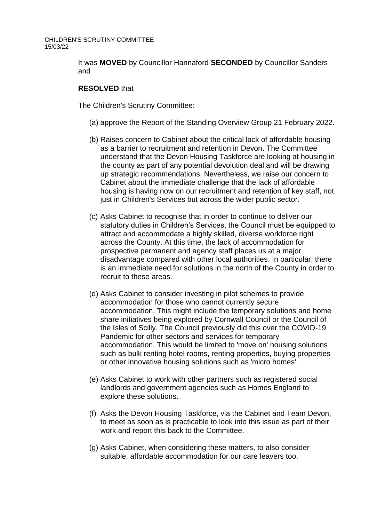It was **MOVED** by Councillor Hannaford **SECONDED** by Councillor Sanders and

### **RESOLVED** that

The Children's Scrutiny Committee:

- (a) approve the Report of the Standing Overview Group 21 February 2022.
- (b) Raises concern to Cabinet about the critical lack of affordable housing as a barrier to recruitment and retention in Devon. The Committee understand that the Devon Housing Taskforce are looking at housing in the county as part of any potential devolution deal and will be drawing up strategic recommendations. Nevertheless, we raise our concern to Cabinet about the immediate challenge that the lack of affordable housing is having now on our recruitment and retention of key staff, not just in Children's Services but across the wider public sector.
- (c) Asks Cabinet to recognise that in order to continue to deliver our statutory duties in Children's Services, the Council must be equipped to attract and accommodate a highly skilled, diverse workforce right across the County. At this time, the lack of accommodation for prospective permanent and agency staff places us at a major disadvantage compared with other local authorities. In particular, there is an immediate need for solutions in the north of the County in order to recruit to these areas.
- (d) Asks Cabinet to consider investing in pilot schemes to provide accommodation for those who cannot currently secure accommodation. This might include the temporary solutions and home share initiatives being explored by Cornwall Council or the Council of the Isles of Scilly. The Council previously did this over the COVID-19 Pandemic for other sectors and services for temporary accommodation. This would be limited to 'move on' housing solutions such as bulk renting hotel rooms, renting properties, buying properties or other innovative housing solutions such as 'micro homes'.
- (e) Asks Cabinet to work with other partners such as registered social landlords and government agencies such as Homes England to explore these solutions.
- (f) Asks the Devon Housing Taskforce, via the Cabinet and Team Devon, to meet as soon as is practicable to look into this issue as part of their work and report this back to the Committee.
- (g) Asks Cabinet, when considering these matters, to also consider suitable, affordable accommodation for our care leavers too.